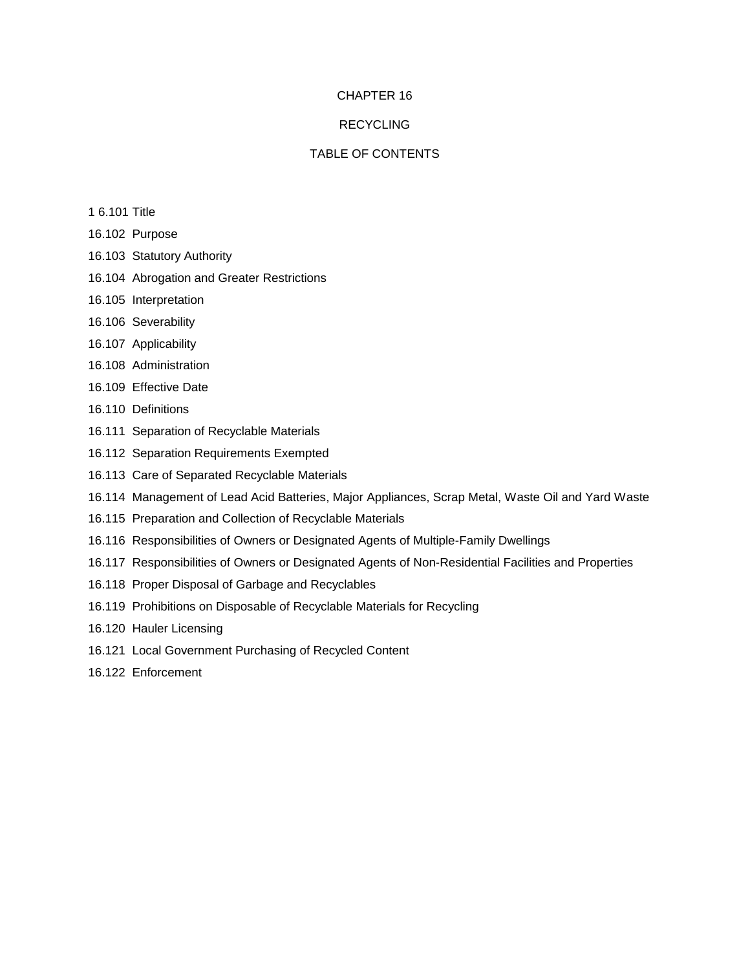# CHAPTER 16

# RECYCLING

# TABLE OF CONTENTS

- 1 6.101 Title
- 16.102 Purpose
- 16.103 Statutory Authority
- 16.104 Abrogation and Greater Restrictions
- 16.105 Interpretation
- 16.106 Severability
- 16.107 Applicability
- 16.108 Administration
- 16.109 Effective Date
- 16.110 Definitions
- 16.111 Separation of Recyclable Materials
- 16.112 Separation Requirements Exempted
- 16.113 Care of Separated Recyclable Materials
- 16.114 Management of Lead Acid Batteries, Major Appliances, Scrap Metal, Waste Oil and Yard Waste
- 16.115 Preparation and Collection of Recyclable Materials
- 16.116 Responsibilities of Owners or Designated Agents of Multiple-Family Dwellings
- 16.117 Responsibilities of Owners or Designated Agents of Non-Residential Facilities and Properties
- 16.118 Proper Disposal of Garbage and Recyclables
- 16.119 Prohibitions on Disposable of Recyclable Materials for Recycling
- 16.120 Hauler Licensing
- 16.121 Local Government Purchasing of Recycled Content
- 16.122 Enforcement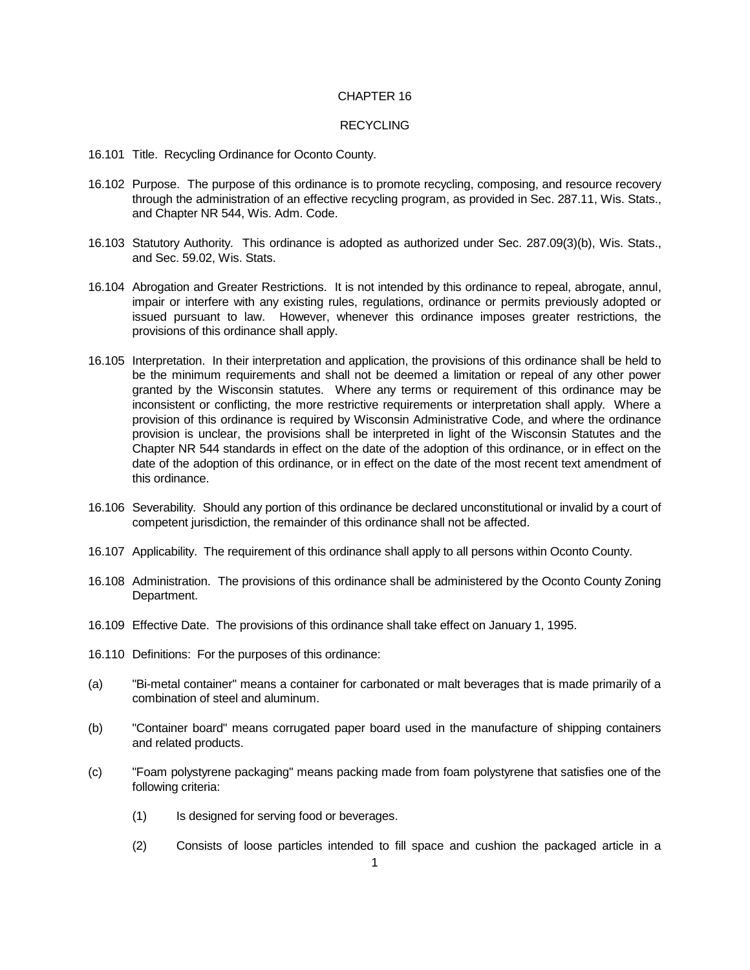## CHAPTER 16

### **RECYCLING**

- 16.101 Title. Recycling Ordinance for Oconto County.
- 16.102 Purpose. The purpose of this ordinance is to promote recycling, composing, and resource recovery through the administration of an effective recycling program, as provided in Sec. 287.11, Wis. Stats., and Chapter NR 544, Wis. Adm. Code.
- 16.103 Statutory Authority. This ordinance is adopted as authorized under Sec. 287.09(3)(b), Wis. Stats., and Sec. 59.02, Wis. Stats.
- 16.104 Abrogation and Greater Restrictions. It is not intended by this ordinance to repeal, abrogate, annul, impair or interfere with any existing rules, regulations, ordinance or permits previously adopted or issued pursuant to law. However, whenever this ordinance imposes greater restrictions, the provisions of this ordinance shall apply.
- 16.105 Interpretation. In their interpretation and application, the provisions of this ordinance shall be held to be the minimum requirements and shall not be deemed a limitation or repeal of any other power granted by the Wisconsin statutes. Where any terms or requirement of this ordinance may be inconsistent or conflicting, the more restrictive requirements or interpretation shall apply. Where a provision of this ordinance is required by Wisconsin Administrative Code, and where the ordinance provision is unclear, the provisions shall be interpreted in light of the Wisconsin Statutes and the Chapter NR 544 standards in effect on the date of the adoption of this ordinance, or in effect on the date of the adoption of this ordinance, or in effect on the date of the most recent text amendment of this ordinance.
- 16.106 Severability. Should any portion of this ordinance be declared unconstitutional or invalid by a court of competent jurisdiction, the remainder of this ordinance shall not be affected.
- 16.107 Applicability. The requirement of this ordinance shall apply to all persons within Oconto County.
- 16.108 Administration. The provisions of this ordinance shall be administered by the Oconto County Zoning Department.
- 16.109 Effective Date. The provisions of this ordinance shall take effect on January 1, 1995.
- 16.110 Definitions: For the purposes of this ordinance:
- (a) "Bi-metal container" means a container for carbonated or malt beverages that is made primarily of a combination of steel and aluminum.
- (b) "Container board" means corrugated paper board used in the manufacture of shipping containers and related products.
- (c) "Foam polystyrene packaging" means packing made from foam polystyrene that satisfies one of the following criteria:
	- (1) Is designed for serving food or beverages.
	- (2) Consists of loose particles intended to fill space and cushion the packaged article in a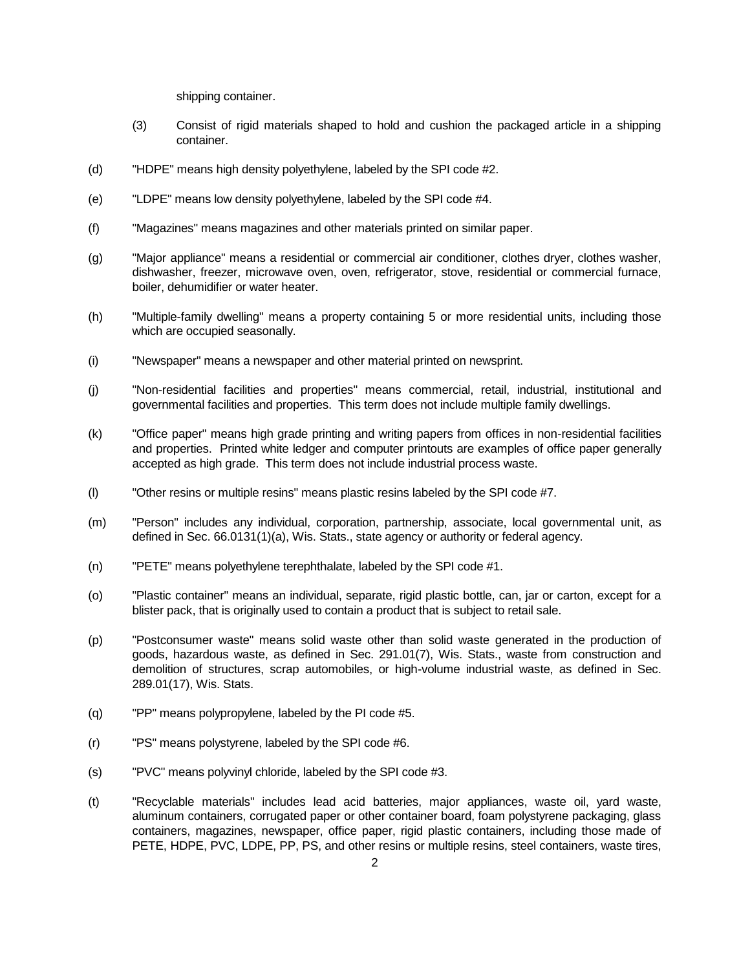shipping container.

- (3) Consist of rigid materials shaped to hold and cushion the packaged article in a shipping container.
- (d) "HDPE" means high density polyethylene, labeled by the SPI code #2.
- (e) "LDPE" means low density polyethylene, labeled by the SPI code #4.
- (f) "Magazines" means magazines and other materials printed on similar paper.
- (g) "Major appliance" means a residential or commercial air conditioner, clothes dryer, clothes washer, dishwasher, freezer, microwave oven, oven, refrigerator, stove, residential or commercial furnace, boiler, dehumidifier or water heater.
- (h) "Multiple-family dwelling" means a property containing 5 or more residential units, including those which are occupied seasonally.
- (i) "Newspaper" means a newspaper and other material printed on newsprint.
- (j) "Non-residential facilities and properties" means commercial, retail, industrial, institutional and governmental facilities and properties. This term does not include multiple family dwellings.
- (k) "Office paper" means high grade printing and writing papers from offices in non-residential facilities and properties. Printed white ledger and computer printouts are examples of office paper generally accepted as high grade. This term does not include industrial process waste.
- (l) "Other resins or multiple resins" means plastic resins labeled by the SPI code #7.
- (m) "Person" includes any individual, corporation, partnership, associate, local governmental unit, as defined in Sec. 66.0131(1)(a), Wis. Stats., state agency or authority or federal agency.
- (n) "PETE" means polyethylene terephthalate, labeled by the SPI code #1.
- (o) "Plastic container" means an individual, separate, rigid plastic bottle, can, jar or carton, except for a blister pack, that is originally used to contain a product that is subject to retail sale.
- (p) "Postconsumer waste" means solid waste other than solid waste generated in the production of goods, hazardous waste, as defined in Sec. 291.01(7), Wis. Stats., waste from construction and demolition of structures, scrap automobiles, or high-volume industrial waste, as defined in Sec. 289.01(17), Wis. Stats.
- (q) "PP" means polypropylene, labeled by the PI code #5.
- (r) "PS" means polystyrene, labeled by the SPI code #6.
- (s) "PVC" means polyvinyl chloride, labeled by the SPI code #3.
- (t) "Recyclable materials" includes lead acid batteries, major appliances, waste oil, yard waste, aluminum containers, corrugated paper or other container board, foam polystyrene packaging, glass containers, magazines, newspaper, office paper, rigid plastic containers, including those made of PETE, HDPE, PVC, LDPE, PP, PS, and other resins or multiple resins, steel containers, waste tires,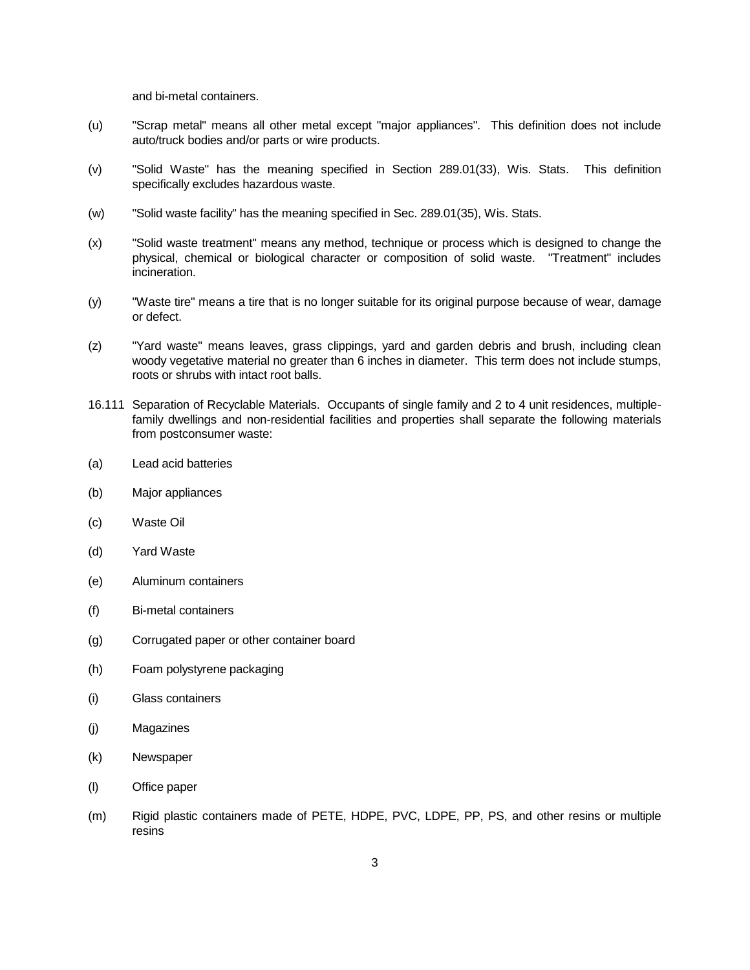and bi-metal containers.

- (u) "Scrap metal" means all other metal except "major appliances". This definition does not include auto/truck bodies and/or parts or wire products.
- (v) "Solid Waste" has the meaning specified in Section 289.01(33), Wis. Stats. This definition specifically excludes hazardous waste.
- (w) "Solid waste facility" has the meaning specified in Sec. 289.01(35), Wis. Stats.
- (x) "Solid waste treatment" means any method, technique or process which is designed to change the physical, chemical or biological character or composition of solid waste. "Treatment" includes incineration.
- (y) "Waste tire" means a tire that is no longer suitable for its original purpose because of wear, damage or defect.
- (z) "Yard waste" means leaves, grass clippings, yard and garden debris and brush, including clean woody vegetative material no greater than 6 inches in diameter. This term does not include stumps, roots or shrubs with intact root balls.
- 16.111 Separation of Recyclable Materials. Occupants of single family and 2 to 4 unit residences, multiplefamily dwellings and non-residential facilities and properties shall separate the following materials from postconsumer waste:
- (a) Lead acid batteries
- (b) Major appliances
- (c) Waste Oil
- (d) Yard Waste
- (e) Aluminum containers
- (f) Bi-metal containers
- (g) Corrugated paper or other container board
- (h) Foam polystyrene packaging
- (i) Glass containers
- (j) Magazines
- (k) Newspaper
- (l) Office paper
- (m) Rigid plastic containers made of PETE, HDPE, PVC, LDPE, PP, PS, and other resins or multiple resins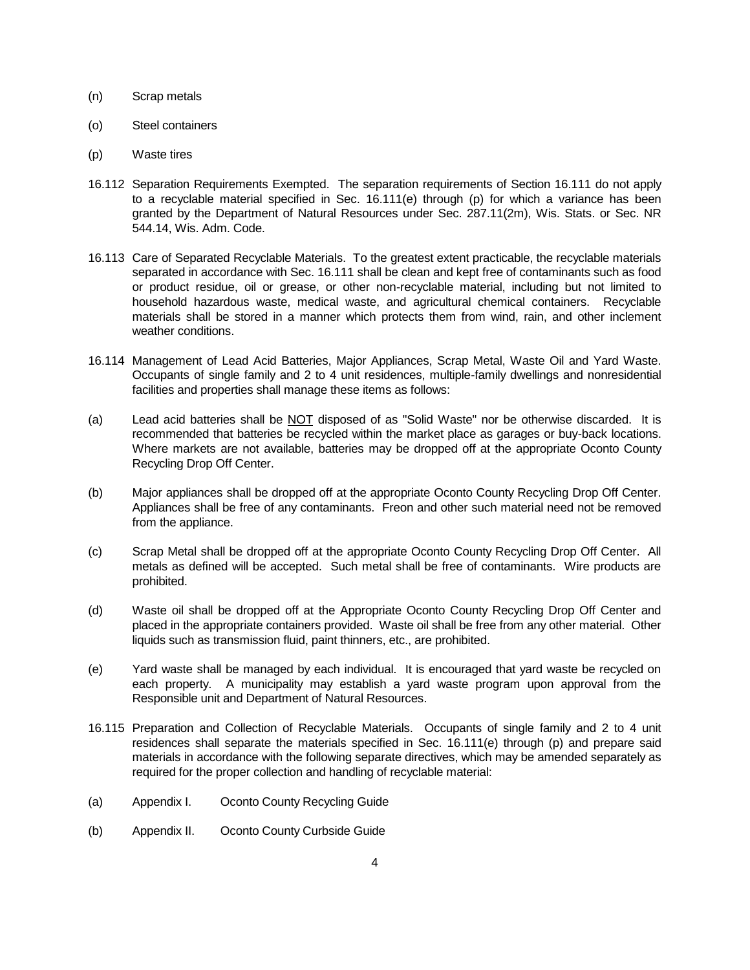### (n) Scrap metals

- (o) Steel containers
- (p) Waste tires
- 16.112 Separation Requirements Exempted. The separation requirements of Section 16.111 do not apply to a recyclable material specified in Sec. 16.111(e) through (p) for which a variance has been granted by the Department of Natural Resources under Sec. 287.11(2m), Wis. Stats. or Sec. NR 544.14, Wis. Adm. Code.
- 16.113 Care of Separated Recyclable Materials. To the greatest extent practicable, the recyclable materials separated in accordance with Sec. 16.111 shall be clean and kept free of contaminants such as food or product residue, oil or grease, or other non-recyclable material, including but not limited to household hazardous waste, medical waste, and agricultural chemical containers. Recyclable materials shall be stored in a manner which protects them from wind, rain, and other inclement weather conditions.
- 16.114 Management of Lead Acid Batteries, Major Appliances, Scrap Metal, Waste Oil and Yard Waste. Occupants of single family and 2 to 4 unit residences, multiple-family dwellings and nonresidential facilities and properties shall manage these items as follows:
- (a) Lead acid batteries shall be NOT disposed of as "Solid Waste" nor be otherwise discarded. It is recommended that batteries be recycled within the market place as garages or buy-back locations. Where markets are not available, batteries may be dropped off at the appropriate Oconto County Recycling Drop Off Center.
- (b) Major appliances shall be dropped off at the appropriate Oconto County Recycling Drop Off Center. Appliances shall be free of any contaminants. Freon and other such material need not be removed from the appliance.
- (c) Scrap Metal shall be dropped off at the appropriate Oconto County Recycling Drop Off Center. All metals as defined will be accepted. Such metal shall be free of contaminants. Wire products are prohibited.
- (d) Waste oil shall be dropped off at the Appropriate Oconto County Recycling Drop Off Center and placed in the appropriate containers provided. Waste oil shall be free from any other material. Other liquids such as transmission fluid, paint thinners, etc., are prohibited.
- (e) Yard waste shall be managed by each individual. It is encouraged that yard waste be recycled on each property. A municipality may establish a yard waste program upon approval from the Responsible unit and Department of Natural Resources.
- 16.115 Preparation and Collection of Recyclable Materials. Occupants of single family and 2 to 4 unit residences shall separate the materials specified in Sec. 16.111(e) through (p) and prepare said materials in accordance with the following separate directives, which may be amended separately as required for the proper collection and handling of recyclable material:
- (a) Appendix I. Oconto County Recycling Guide
- (b) Appendix II. Oconto County Curbside Guide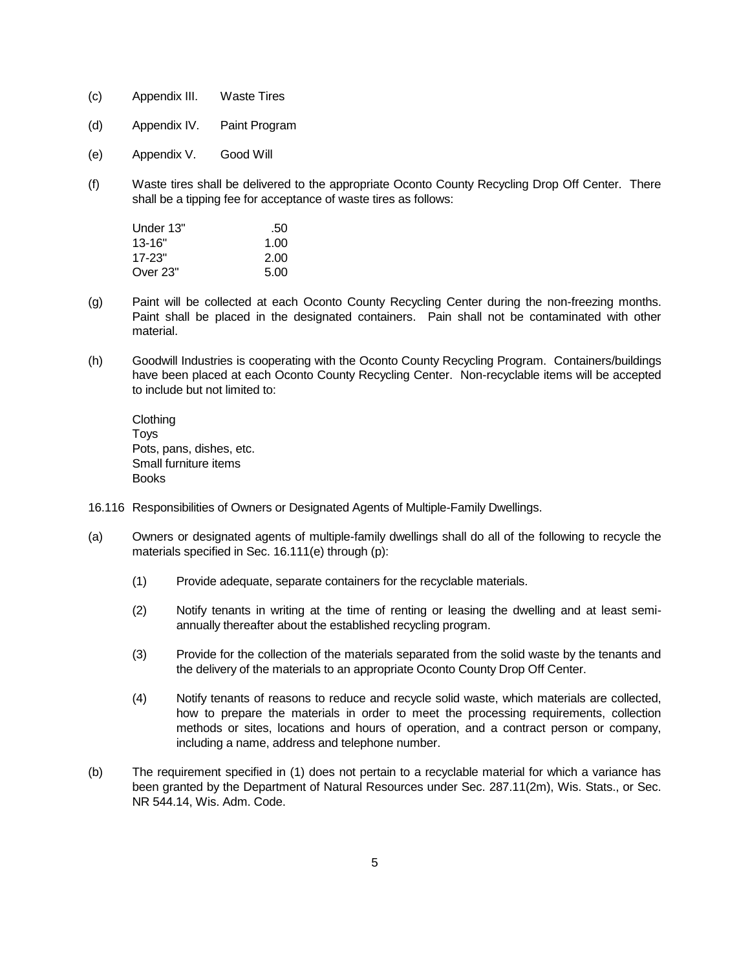- (c) Appendix III. Waste Tires
- (d) Appendix IV. Paint Program
- (e) Appendix V. Good Will
- (f) Waste tires shall be delivered to the appropriate Oconto County Recycling Drop Off Center. There shall be a tipping fee for acceptance of waste tires as follows:

| Under 13"  | .50  |
|------------|------|
| $13 - 16"$ | 1.00 |
| $17 - 23"$ | 2.00 |
| Over 23"   | 5.00 |

- (g) Paint will be collected at each Oconto County Recycling Center during the non-freezing months. Paint shall be placed in the designated containers. Pain shall not be contaminated with other material.
- (h) Goodwill Industries is cooperating with the Oconto County Recycling Program. Containers/buildings have been placed at each Oconto County Recycling Center. Non-recyclable items will be accepted to include but not limited to:

**Clothing** Toys Pots, pans, dishes, etc. Small furniture items Books

- 16.116 Responsibilities of Owners or Designated Agents of Multiple-Family Dwellings.
- (a) Owners or designated agents of multiple-family dwellings shall do all of the following to recycle the materials specified in Sec. 16.111(e) through (p):
	- (1) Provide adequate, separate containers for the recyclable materials.
	- (2) Notify tenants in writing at the time of renting or leasing the dwelling and at least semiannually thereafter about the established recycling program.
	- (3) Provide for the collection of the materials separated from the solid waste by the tenants and the delivery of the materials to an appropriate Oconto County Drop Off Center.
	- (4) Notify tenants of reasons to reduce and recycle solid waste, which materials are collected, how to prepare the materials in order to meet the processing requirements, collection methods or sites, locations and hours of operation, and a contract person or company, including a name, address and telephone number.
- (b) The requirement specified in (1) does not pertain to a recyclable material for which a variance has been granted by the Department of Natural Resources under Sec. 287.11(2m), Wis. Stats., or Sec. NR 544.14, Wis. Adm. Code.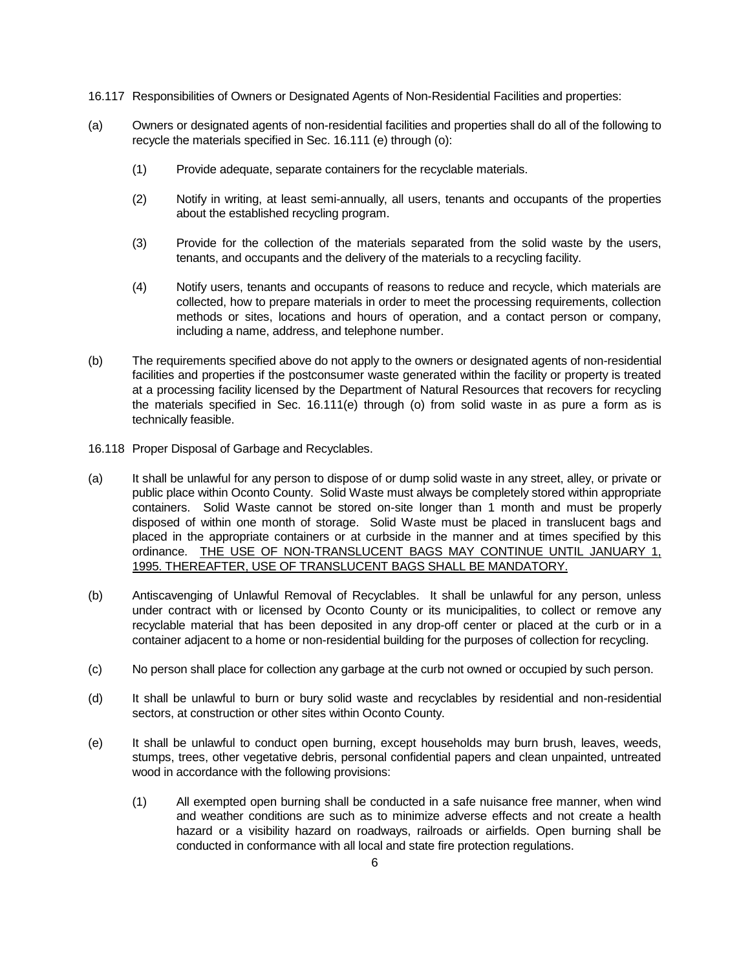- 16.117 Responsibilities of Owners or Designated Agents of Non-Residential Facilities and properties:
- (a) Owners or designated agents of non-residential facilities and properties shall do all of the following to recycle the materials specified in Sec. 16.111 (e) through (o):
	- (1) Provide adequate, separate containers for the recyclable materials.
	- (2) Notify in writing, at least semi-annually, all users, tenants and occupants of the properties about the established recycling program.
	- (3) Provide for the collection of the materials separated from the solid waste by the users, tenants, and occupants and the delivery of the materials to a recycling facility.
	- (4) Notify users, tenants and occupants of reasons to reduce and recycle, which materials are collected, how to prepare materials in order to meet the processing requirements, collection methods or sites, locations and hours of operation, and a contact person or company, including a name, address, and telephone number.
- (b) The requirements specified above do not apply to the owners or designated agents of non-residential facilities and properties if the postconsumer waste generated within the facility or property is treated at a processing facility licensed by the Department of Natural Resources that recovers for recycling the materials specified in Sec. 16.111(e) through (o) from solid waste in as pure a form as is technically feasible.
- 16.118 Proper Disposal of Garbage and Recyclables.
- (a) It shall be unlawful for any person to dispose of or dump solid waste in any street, alley, or private or public place within Oconto County. Solid Waste must always be completely stored within appropriate containers. Solid Waste cannot be stored on-site longer than 1 month and must be properly disposed of within one month of storage. Solid Waste must be placed in translucent bags and placed in the appropriate containers or at curbside in the manner and at times specified by this ordinance. THE USE OF NON-TRANSLUCENT BAGS MAY CONTINUE UNTIL JANUARY 1, 1995. THEREAFTER, USE OF TRANSLUCENT BAGS SHALL BE MANDATORY.
- (b) Antiscavenging of Unlawful Removal of Recyclables. It shall be unlawful for any person, unless under contract with or licensed by Oconto County or its municipalities, to collect or remove any recyclable material that has been deposited in any drop-off center or placed at the curb or in a container adjacent to a home or non-residential building for the purposes of collection for recycling.
- (c) No person shall place for collection any garbage at the curb not owned or occupied by such person.
- (d) It shall be unlawful to burn or bury solid waste and recyclables by residential and non-residential sectors, at construction or other sites within Oconto County.
- (e) It shall be unlawful to conduct open burning, except households may burn brush, leaves, weeds, stumps, trees, other vegetative debris, personal confidential papers and clean unpainted, untreated wood in accordance with the following provisions:
	- (1) All exempted open burning shall be conducted in a safe nuisance free manner, when wind and weather conditions are such as to minimize adverse effects and not create a health hazard or a visibility hazard on roadways, railroads or airfields. Open burning shall be conducted in conformance with all local and state fire protection regulations.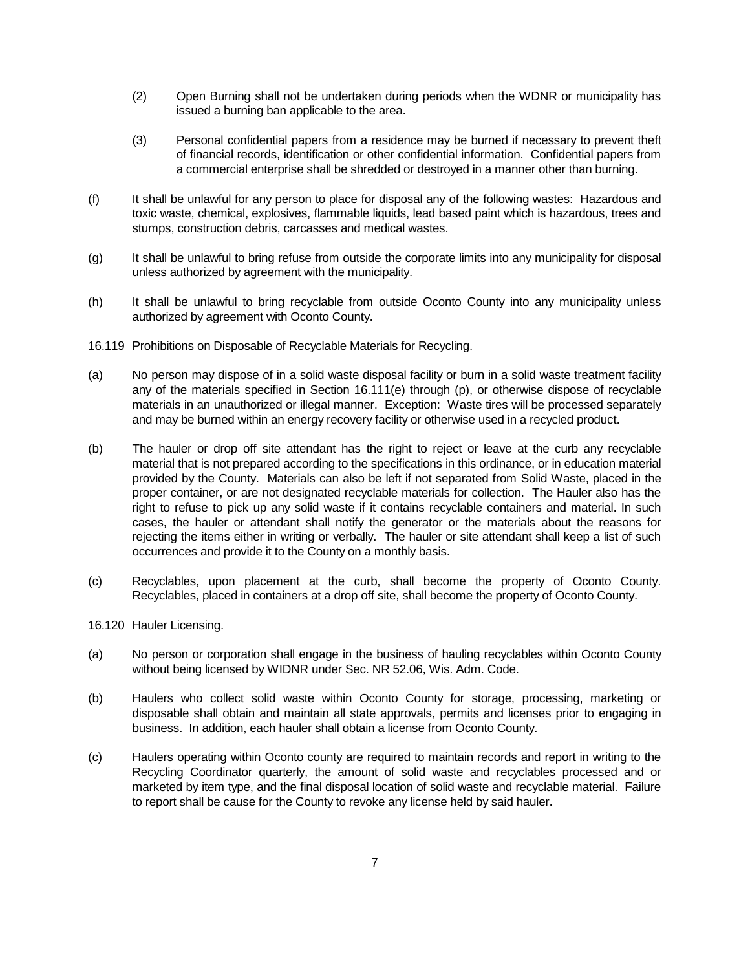- (2) Open Burning shall not be undertaken during periods when the WDNR or municipality has issued a burning ban applicable to the area.
- (3) Personal confidential papers from a residence may be burned if necessary to prevent theft of financial records, identification or other confidential information. Confidential papers from a commercial enterprise shall be shredded or destroyed in a manner other than burning.
- (f) It shall be unlawful for any person to place for disposal any of the following wastes: Hazardous and toxic waste, chemical, explosives, flammable liquids, lead based paint which is hazardous, trees and stumps, construction debris, carcasses and medical wastes.
- (g) It shall be unlawful to bring refuse from outside the corporate limits into any municipality for disposal unless authorized by agreement with the municipality.
- (h) It shall be unlawful to bring recyclable from outside Oconto County into any municipality unless authorized by agreement with Oconto County.
- 16.119 Prohibitions on Disposable of Recyclable Materials for Recycling.
- (a) No person may dispose of in a solid waste disposal facility or burn in a solid waste treatment facility any of the materials specified in Section 16.111(e) through (p), or otherwise dispose of recyclable materials in an unauthorized or illegal manner. Exception: Waste tires will be processed separately and may be burned within an energy recovery facility or otherwise used in a recycled product.
- (b) The hauler or drop off site attendant has the right to reject or leave at the curb any recyclable material that is not prepared according to the specifications in this ordinance, or in education material provided by the County. Materials can also be left if not separated from Solid Waste, placed in the proper container, or are not designated recyclable materials for collection. The Hauler also has the right to refuse to pick up any solid waste if it contains recyclable containers and material. In such cases, the hauler or attendant shall notify the generator or the materials about the reasons for rejecting the items either in writing or verbally. The hauler or site attendant shall keep a list of such occurrences and provide it to the County on a monthly basis.
- (c) Recyclables, upon placement at the curb, shall become the property of Oconto County. Recyclables, placed in containers at a drop off site, shall become the property of Oconto County.
- 16.120 Hauler Licensing.
- (a) No person or corporation shall engage in the business of hauling recyclables within Oconto County without being licensed by WIDNR under Sec. NR 52.06, Wis. Adm. Code.
- (b) Haulers who collect solid waste within Oconto County for storage, processing, marketing or disposable shall obtain and maintain all state approvals, permits and licenses prior to engaging in business. In addition, each hauler shall obtain a license from Oconto County.
- (c) Haulers operating within Oconto county are required to maintain records and report in writing to the Recycling Coordinator quarterly, the amount of solid waste and recyclables processed and or marketed by item type, and the final disposal location of solid waste and recyclable material. Failure to report shall be cause for the County to revoke any license held by said hauler.